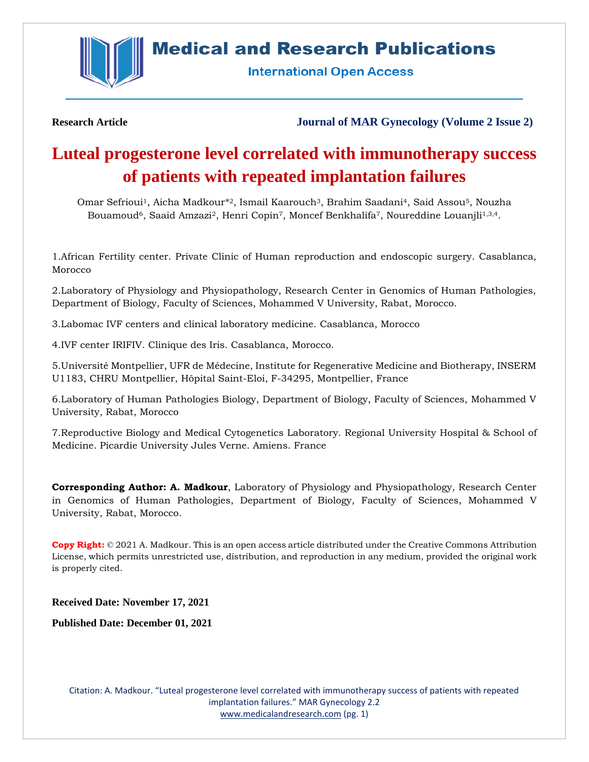

**Medical and Research Publications** 

**International Open Access** 

**Research Article Journal of MAR Gynecology (Volume 2 Issue 2)**

# **Luteal progesterone level correlated with immunotherapy success of patients with repeated implantation failures**

Omar Sefrioui1, Aicha Madkour\* <sup>2</sup>, Ismail Kaarouch3, Brahim Saadani4, Said Assou5, Nouzha Bouamoud<sup>6</sup>, Saaid Amzazi<sup>2</sup>, Henri Copin<sup>7</sup>, Moncef Benkhalifa<sup>7</sup>, Noureddine Louanjli<sup>1,3,4</sup>.

1.African Fertility center. Private Clinic of Human reproduction and endoscopic surgery. Casablanca, Morocco

2.Laboratory of Physiology and Physiopathology, Research Center in Genomics of Human Pathologies, Department of Biology, Faculty of Sciences, Mohammed V University, Rabat, Morocco.

3.Labomac IVF centers and clinical laboratory medicine. Casablanca, Morocco

4.IVF center IRIFIV. Clinique des Iris. Casablanca, Morocco.

5.Université Montpellier, UFR de Médecine, Institute for Regenerative Medicine and Biotherapy, INSERM U1183, CHRU Montpellier, Hôpital Saint-Eloi, F-34295, Montpellier, France

6.Laboratory of Human Pathologies Biology, Department of Biology, Faculty of Sciences, Mohammed V University, Rabat, Morocco

7.Reproductive Biology and Medical Cytogenetics Laboratory. Regional University Hospital & School of Medicine. Picardie University Jules Verne. Amiens. France

**Corresponding Author: A. Madkour**, Laboratory of Physiology and Physiopathology, Research Center in Genomics of Human Pathologies, Department of Biology, Faculty of Sciences, Mohammed V University, Rabat, Morocco.

**Copy Right:** © 2021 A. Madkour. This is an open access article distributed under the Creative Commons Attribution License, which permits unrestricted use, distribution, and reproduction in any medium, provided the original work is properly cited.

**Received Date: November 17, 2021**

**Published Date: December 01, 2021**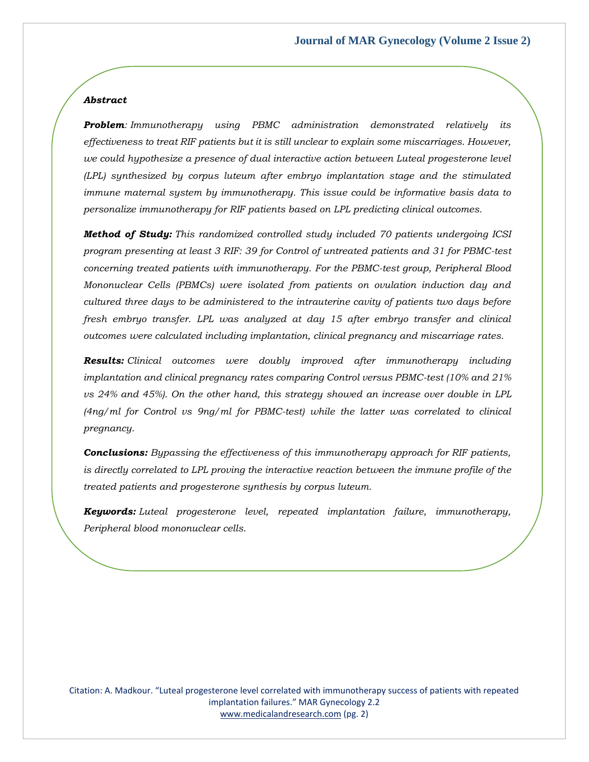# *Abstract*

*Problem: Immunotherapy using PBMC administration demonstrated relatively its effectiveness to treat RIF patients but it is still unclear to explain some miscarriages. However, we could hypothesize a presence of dual interactive action between Luteal progesterone level (LPL) synthesized by corpus luteum after embryo implantation stage and the stimulated immune maternal system by immunotherapy. This issue could be informative basis data to personalize immunotherapy for RIF patients based on LPL predicting clinical outcomes.*

*Method of Study: This randomized controlled study included 70 patients undergoing ICSI program presenting at least 3 RIF: 39 for Control of untreated patients and 31 for PBMC-test concerning treated patients with immunotherapy. For the PBMC-test group, Peripheral Blood Mononuclear Cells (PBMCs) were isolated from patients on ovulation induction day and cultured three days to be administered to the intrauterine cavity of patients two days before fresh embryo transfer. LPL was analyzed at day 15 after embryo transfer and clinical outcomes were calculated including implantation, clinical pregnancy and miscarriage rates.*

*Results: Clinical outcomes were doubly improved after immunotherapy including implantation and clinical pregnancy rates comparing Control versus PBMC-test (10% and 21% vs 24% and 45%). On the other hand, this strategy showed an increase over double in LPL (4ng/ml for Control vs 9ng/ml for PBMC-test) while the latter was correlated to clinical pregnancy.*

*Conclusions: Bypassing the effectiveness of this immunotherapy approach for RIF patients, is directly correlated to LPL proving the interactive reaction between the immune profile of the treated patients and progesterone synthesis by corpus luteum.*

*Keywords: Luteal progesterone level, repeated implantation failure, immunotherapy, Peripheral blood mononuclear cells.*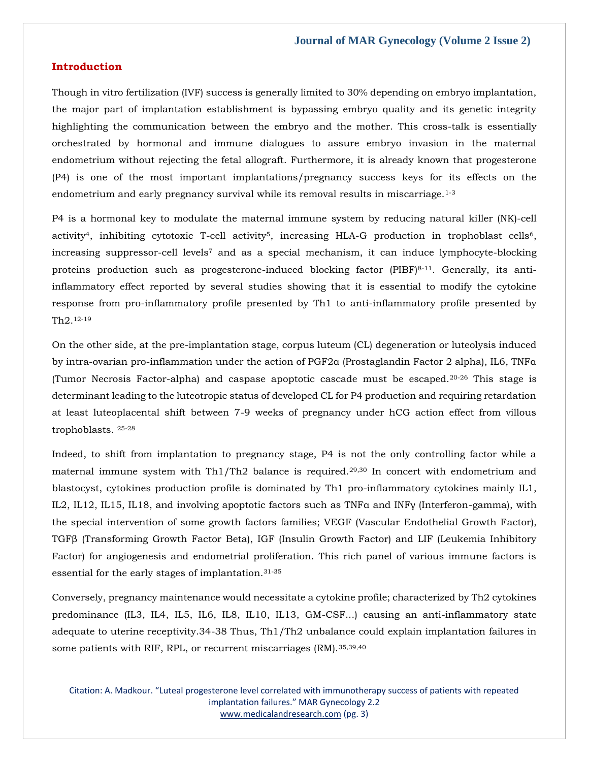# **Introduction**

Though in vitro fertilization (IVF) success is generally limited to 30% depending on embryo implantation, the major part of implantation establishment is bypassing embryo quality and its genetic integrity highlighting the communication between the embryo and the mother. This cross-talk is essentially orchestrated by hormonal and immune dialogues to assure embryo invasion in the maternal endometrium without rejecting the fetal allograft. Furthermore, it is already known that progesterone (P4) is one of the most important implantations/pregnancy success keys for its effects on the endometrium and early pregnancy survival while its removal results in miscarriage.1-3

P4 is a hormonal key to modulate the maternal immune system by reducing natural killer (NK)-cell activity<sup>4</sup>, inhibiting cytotoxic T-cell activity<sup>5</sup>, increasing HLA-G production in trophoblast cells<sup>6</sup>, increasing suppressor-cell levels<sup>7</sup> and as a special mechanism, it can induce lymphocyte-blocking proteins production such as progesterone-induced blocking factor (PIBF)<sup>8-11</sup>. Generally, its antiinflammatory effect reported by several studies showing that it is essential to modify the cytokine response from pro-inflammatory profile presented by Th1 to anti-inflammatory profile presented by Th2.12-19

On the other side, at the pre-implantation stage, corpus luteum (CL) degeneration or luteolysis induced by intra-ovarian pro-inflammation under the action of PGF2α (Prostaglandin Factor 2 alpha), IL6, TNFα (Tumor Necrosis Factor-alpha) and caspase apoptotic cascade must be escaped.20-26 This stage is determinant leading to the luteotropic status of developed CL for P4 production and requiring retardation at least luteoplacental shift between 7-9 weeks of pregnancy under hCG action effect from villous trophoblasts. 25-28

Indeed, to shift from implantation to pregnancy stage, P4 is not the only controlling factor while a maternal immune system with Th1/Th2 balance is required.29,30 In concert with endometrium and blastocyst, cytokines production profile is dominated by Th1 pro-inflammatory cytokines mainly IL1, IL2, IL12, IL15, IL18, and involving apoptotic factors such as TNFα and INFγ (Interferon-gamma), with the special intervention of some growth factors families; VEGF (Vascular Endothelial Growth Factor), TGFβ (Transforming Growth Factor Beta), IGF (Insulin Growth Factor) and LIF (Leukemia Inhibitory Factor) for angiogenesis and endometrial proliferation. This rich panel of various immune factors is essential for the early stages of implantation.31-35

Conversely, pregnancy maintenance would necessitate a cytokine profile; characterized by Th2 cytokines predominance (IL3, IL4, IL5, IL6, IL8, IL10, IL13, GM-CSF...) causing an anti-inflammatory state adequate to uterine receptivity.34-38 Thus, Th1/Th2 unbalance could explain implantation failures in some patients with RIF, RPL, or recurrent miscarriages (RM). 35,39,40

Citation: A. Madkour. "Luteal progesterone level correlated with immunotherapy success of patients with repeated implantation failures." MAR Gynecology 2.2 [www.medicalandresearch.com](http://www.medicalandresearch.com/) (pg. 3)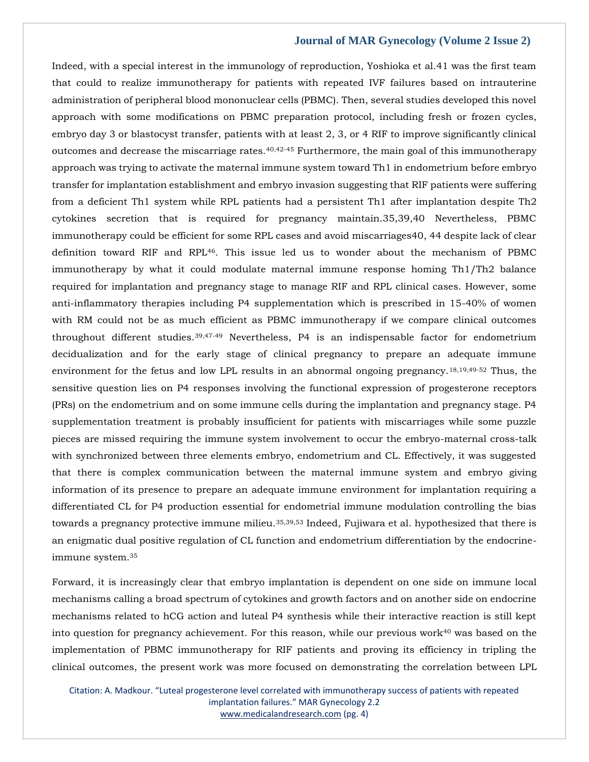Indeed, with a special interest in the immunology of reproduction, Yoshioka et al.41 was the first team that could to realize immunotherapy for patients with repeated IVF failures based on intrauterine administration of peripheral blood mononuclear cells (PBMC). Then, several studies developed this novel approach with some modifications on PBMC preparation protocol, including fresh or frozen cycles, embryo day 3 or blastocyst transfer, patients with at least 2, 3, or 4 RIF to improve significantly clinical outcomes and decrease the miscarriage rates.40,42-45 Furthermore, the main goal of this immunotherapy approach was trying to activate the maternal immune system toward Th1 in endometrium before embryo transfer for implantation establishment and embryo invasion suggesting that RIF patients were suffering from a deficient Th1 system while RPL patients had a persistent Th1 after implantation despite Th2 cytokines secretion that is required for pregnancy maintain.35,39,40 Nevertheless, PBMC immunotherapy could be efficient for some RPL cases and avoid miscarriages40, 44 despite lack of clear definition toward RIF and RPL46. This issue led us to wonder about the mechanism of PBMC immunotherapy by what it could modulate maternal immune response homing Th1/Th2 balance required for implantation and pregnancy stage to manage RIF and RPL clinical cases. However, some anti-inflammatory therapies including P4 supplementation which is prescribed in 15-40% of women with RM could not be as much efficient as PBMC immunotherapy if we compare clinical outcomes throughout different studies.39,47-49 Nevertheless, P4 is an indispensable factor for endometrium decidualization and for the early stage of clinical pregnancy to prepare an adequate immune environment for the fetus and low LPL results in an abnormal ongoing pregnancy.18,19,49-52 Thus, the sensitive question lies on P4 responses involving the functional expression of progesterone receptors (PRs) on the endometrium and on some immune cells during the implantation and pregnancy stage. P4 supplementation treatment is probably insufficient for patients with miscarriages while some puzzle pieces are missed requiring the immune system involvement to occur the embryo-maternal cross-talk with synchronized between three elements embryo, endometrium and CL. Effectively, it was suggested that there is complex communication between the maternal immune system and embryo giving information of its presence to prepare an adequate immune environment for implantation requiring a differentiated CL for P4 production essential for endometrial immune modulation controlling the bias towards a pregnancy protective immune milieu.<sup>35,39,53</sup> Indeed, Fujiwara et al. hypothesized that there is an enigmatic dual positive regulation of CL function and endometrium differentiation by the endocrineimmune system.<sup>35</sup>

Forward, it is increasingly clear that embryo implantation is dependent on one side on immune local mechanisms calling a broad spectrum of cytokines and growth factors and on another side on endocrine mechanisms related to hCG action and luteal P4 synthesis while their interactive reaction is still kept into question for pregnancy achievement. For this reason, while our previous work $40$  was based on the implementation of PBMC immunotherapy for RIF patients and proving its efficiency in tripling the clinical outcomes, the present work was more focused on demonstrating the correlation between LPL

Citation: A. Madkour. "Luteal progesterone level correlated with immunotherapy success of patients with repeated implantation failures." MAR Gynecology 2.2 [www.medicalandresearch.com](http://www.medicalandresearch.com/) (pg. 4)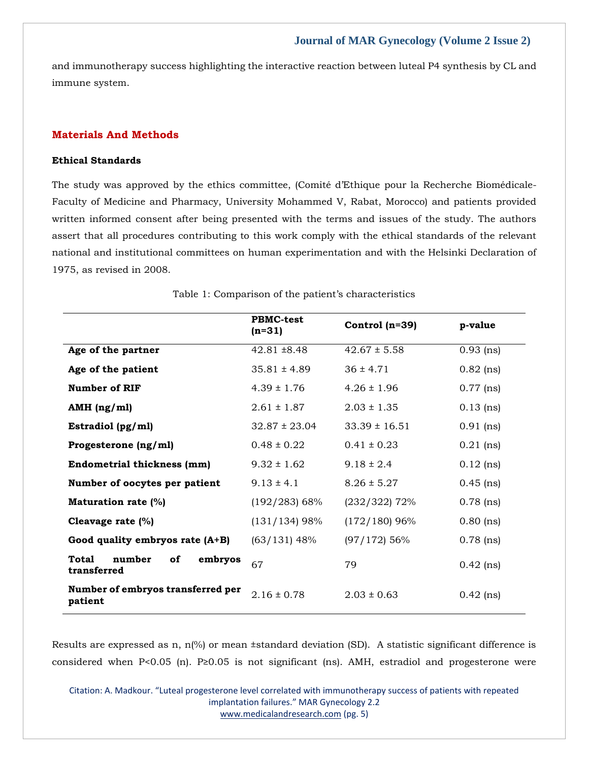and immunotherapy success highlighting the interactive reaction between luteal P4 synthesis by CL and immune system.

# **Materials And Methods**

#### **Ethical Standards**

The study was approved by the ethics committee, (Comité d'Ethique pour la Recherche Biomédicale-Faculty of Medicine and Pharmacy, University Mohammed V, Rabat, Morocco) and patients provided written informed consent after being presented with the terms and issues of the study. The authors assert that all procedures contributing to this work comply with the ethical standards of the relevant national and institutional committees on human experimentation and with the Helsinki Declaration of 1975, as revised in 2008.

|                                                 | <b>PBMC-test</b><br>$(n=31)$ | Control $(n=39)$  | p-value     |
|-------------------------------------------------|------------------------------|-------------------|-------------|
| Age of the partner                              | $42.81 \pm 8.48$             | $42.67 \pm 5.58$  | $0.93$ (ns) |
| Age of the patient                              | $35.81 \pm 4.89$             | $36 \pm 4.71$     | $0.82$ (ns) |
| <b>Number of RIF</b>                            | $4.39 \pm 1.76$              | $4.26 \pm 1.96$   | $0.77$ (ns) |
| AMH $(ng/ml)$                                   | $2.61 \pm 1.87$              | $2.03 \pm 1.35$   | $0.13$ (ns) |
| Estradiol (pg/ml)                               | $32.87 \pm 23.04$            | $33.39 \pm 16.51$ | $0.91$ (ns) |
| Progesterone (ng/ml)                            | $0.48 \pm 0.22$              | $0.41 \pm 0.23$   | $0.21$ (ns) |
| <b>Endometrial thickness (mm)</b>               | $9.32 \pm 1.62$              | $9.18 \pm 2.4$    | $0.12$ (ns) |
| Number of oocytes per patient                   | $9.13 \pm 4.1$               | $8.26 \pm 5.27$   | $0.45$ (ns) |
| <b>Maturation rate (%)</b>                      | $(192/283)$ 68%              | $(232/322)$ 72%   | $0.78$ (ns) |
| Cleavage rate (%)                               | $(131/134)$ 98%              | $(172/180)$ 96%   | $0.80$ (ns) |
| Good quality embryos rate $(A+B)$               | $(63/131)$ 48%               | $(97/172)$ 56%    | $0.78$ (ns) |
| Total<br>number<br>оf<br>embryos<br>transferred | 67                           | 79                | $0.42$ (ns) |
| Number of embryos transferred per<br>patient    | $2.16 \pm 0.78$              | $2.03 \pm 0.63$   | $0.42$ (ns) |

#### Table 1: Comparison of the patient's characteristics

Results are expressed as n,  $n(\%)$  or mean ±standard deviation (SD). A statistic significant difference is considered when P<0.05 (n). P≥0.05 is not significant (ns). AMH, estradiol and progesterone were

Citation: A. Madkour. "Luteal progesterone level correlated with immunotherapy success of patients with repeated implantation failures." MAR Gynecology 2.2 [www.medicalandresearch.com](http://www.medicalandresearch.com/) (pg. 5)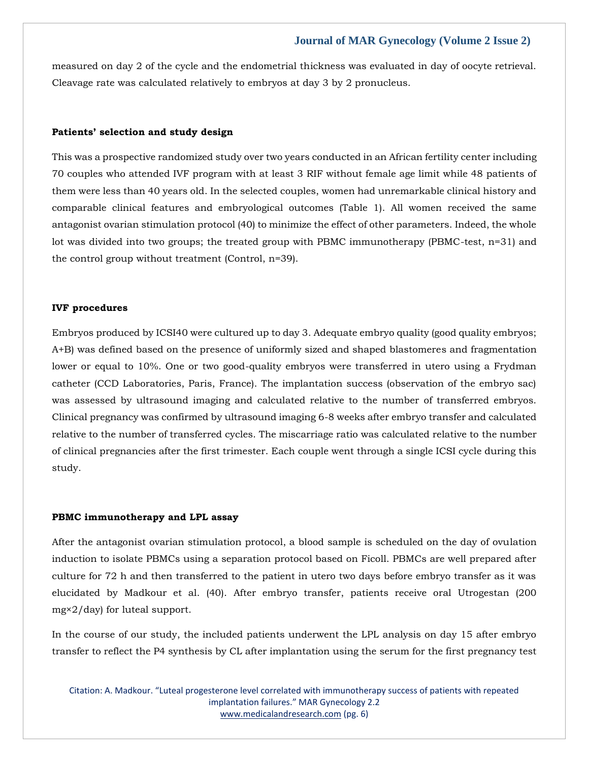measured on day 2 of the cycle and the endometrial thickness was evaluated in day of oocyte retrieval. Cleavage rate was calculated relatively to embryos at day 3 by 2 pronucleus.

## **Patients' selection and study design**

This was a prospective randomized study over two years conducted in an African fertility center including 70 couples who attended IVF program with at least 3 RIF without female age limit while 48 patients of them were less than 40 years old. In the selected couples, women had unremarkable clinical history and comparable clinical features and embryological outcomes (Table 1). All women received the same antagonist ovarian stimulation protocol (40) to minimize the effect of other parameters. Indeed, the whole lot was divided into two groups; the treated group with PBMC immunotherapy (PBMC-test, n=31) and the control group without treatment (Control, n=39).

#### **IVF procedures**

Embryos produced by ICSI40 were cultured up to day 3. Adequate embryo quality (good quality embryos; A+B) was defined based on the presence of uniformly sized and shaped blastomeres and fragmentation lower or equal to 10%. One or two good-quality embryos were transferred in utero using a Frydman catheter (CCD Laboratories, Paris, France). The implantation success (observation of the embryo sac) was assessed by ultrasound imaging and calculated relative to the number of transferred embryos. Clinical pregnancy was confirmed by ultrasound imaging 6-8 weeks after embryo transfer and calculated relative to the number of transferred cycles. The miscarriage ratio was calculated relative to the number of clinical pregnancies after the first trimester. Each couple went through a single ICSI cycle during this study.

#### **PBMC immunotherapy and LPL assay**

After the antagonist ovarian stimulation protocol, a blood sample is scheduled on the day of ovulation induction to isolate PBMCs using a separation protocol based on Ficoll. PBMCs are well prepared after culture for 72 h and then transferred to the patient in utero two days before embryo transfer as it was elucidated by Madkour et al. (40). After embryo transfer, patients receive oral Utrogestan (200 mg×2/day) for luteal support.

In the course of our study, the included patients underwent the LPL analysis on day 15 after embryo transfer to reflect the P4 synthesis by CL after implantation using the serum for the first pregnancy test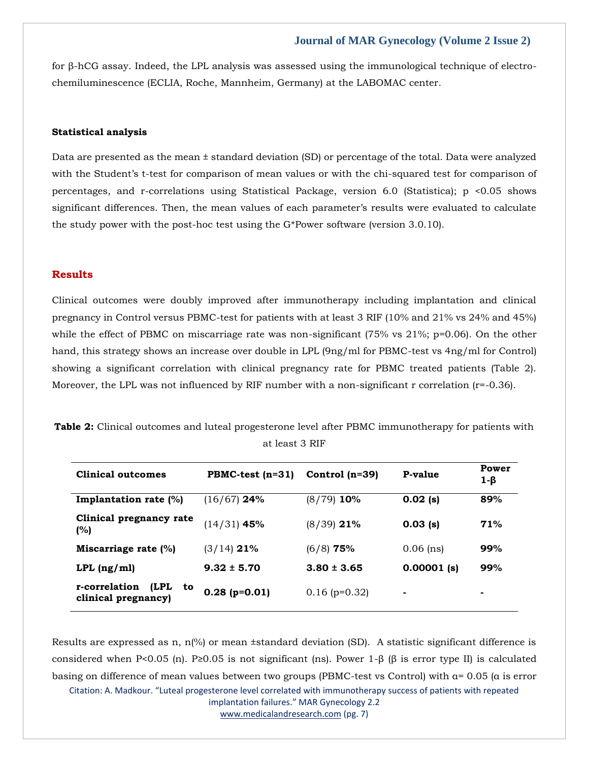for β-hCG assay. Indeed, the LPL analysis was assessed using the immunological technique of electrochemiluminescence (ECLIA, Roche, Mannheim, Germany) at the LABOMAC center.

## **Statistical analysis**

Data are presented as the mean ± standard deviation (SD) or percentage of the total. Data were analyzed with the Student's t-test for comparison of mean values or with the chi-squared test for comparison of percentages, and r-correlations using Statistical Package, version 6.0 (Statistica); p <0.05 shows significant differences. Then, the mean values of each parameter's results were evaluated to calculate the study power with the post-hoc test using the G\*Power software (version 3.0.10).

# **Results**

Clinical outcomes were doubly improved after immunotherapy including implantation and clinical pregnancy in Control versus PBMC-test for patients with at least 3 RIF (10% and 21% vs 24% and 45%) while the effect of PBMC on miscarriage rate was non-significant (75% vs 21%; p=0.06). On the other hand, this strategy shows an increase over double in LPL (9ng/ml for PBMC-test vs 4ng/ml for Control) showing a significant correlation with clinical pregnancy rate for PBMC treated patients (Table 2). Moreover, the LPL was not influenced by RIF number with a non-significant r correlation (r=-0.36).

**Table 2:** Clinical outcomes and luteal progesterone level after PBMC immunotherapy for patients with at least 3 RIF

| <b>Clinical outcomes</b>                           | $PBMC-test (n=31)$ | Control $(n=39)$ | P-value       | Power<br>$1-\beta$ |
|----------------------------------------------------|--------------------|------------------|---------------|--------------------|
| <b>Implantation rate <math>(\%)</math></b>         | $(16/67)$ 24%      | $(8/79)$ 10%     | $0.02$ (s)    | 89%                |
| Clinical pregnancy rate<br>(%)                     | $(14/31)$ 45%      | $(8/39)$ 21%     | $0.03$ (s)    | 71%                |
| Miscarriage rate $(\%)$                            | $(3/14)$ 21%       | $(6/8)$ 75%      | $0.06$ (ns)   | 99%                |
| $LPL$ (ng/ml)                                      | $9.32 \pm 5.70$    | $3.80 \pm 3.65$  | $0.00001$ (s) | 99%                |
| r-correlation<br>(LPL<br>to<br>clinical pregnancy) | $0.28$ (p=0.01)    | $0.16$ (p=0.32)  | ٠             | ۰                  |

Citation: A. Madkour. "Luteal progesterone level correlated with immunotherapy success of patients with repeated implantation failures." MAR Gynecology 2.2 [www.medicalandresearch.com](http://www.medicalandresearch.com/) (pg. 7) Results are expressed as n,  $n(\%)$  or mean ±standard deviation (SD). A statistic significant difference is considered when P<0.05 (n). P≥0.05 is not significant (ns). Power 1-β (β is error type II) is calculated basing on difference of mean values between two groups (PBMC-test vs Control) with  $\alpha$ = 0.05 ( $\alpha$  is error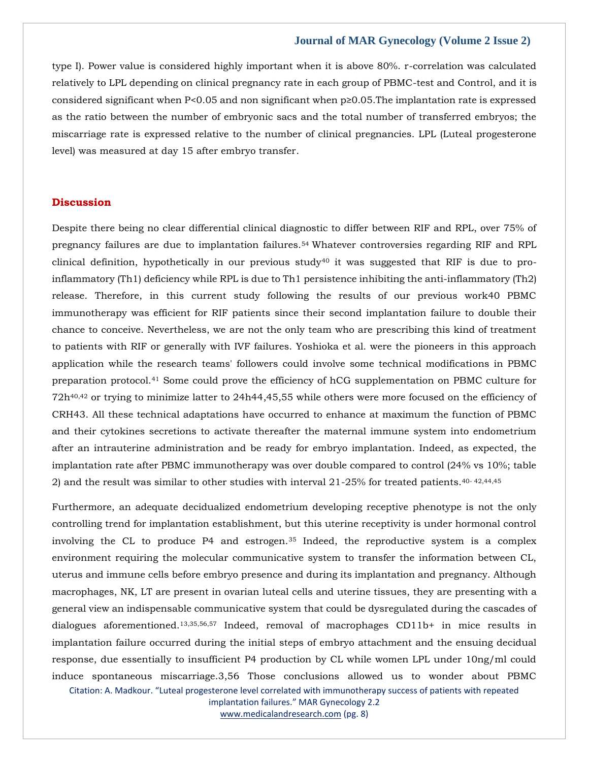type I). Power value is considered highly important when it is above 80%. r-correlation was calculated relatively to LPL depending on clinical pregnancy rate in each group of PBMC-test and Control, and it is considered significant when P<0.05 and non significant when p≥0.05.The implantation rate is expressed as the ratio between the number of embryonic sacs and the total number of transferred embryos; the miscarriage rate is expressed relative to the number of clinical pregnancies. LPL (Luteal progesterone level) was measured at day 15 after embryo transfer.

# **Discussion**

Despite there being no clear differential clinical diagnostic to differ between RIF and RPL, over 75% of pregnancy failures are due to implantation failures.54 Whatever controversies regarding RIF and RPL clinical definition, hypothetically in our previous study<sup>40</sup> it was suggested that RIF is due to proinflammatory (Th1) deficiency while RPL is due to Th1 persistence inhibiting the anti-inflammatory (Th2) release. Therefore, in this current study following the results of our previous work40 PBMC immunotherapy was efficient for RIF patients since their second implantation failure to double their chance to conceive. Nevertheless, we are not the only team who are prescribing this kind of treatment to patients with RIF or generally with IVF failures. Yoshioka et al. were the pioneers in this approach application while the research teams' followers could involve some technical modifications in PBMC preparation protocol.<sup>41</sup> Some could prove the efficiency of hCG supplementation on PBMC culture for 72h40,42 or trying to minimize latter to 24h44,45,55 while others were more focused on the efficiency of CRH43. All these technical adaptations have occurred to enhance at maximum the function of PBMC and their cytokines secretions to activate thereafter the maternal immune system into endometrium after an intrauterine administration and be ready for embryo implantation. Indeed, as expected, the implantation rate after PBMC immunotherapy was over double compared to control (24% vs 10%; table 2) and the result was similar to other studies with interval  $21-25\%$  for treated patients.<sup>40-42,44,45</sup>

Furthermore, an adequate decidualized endometrium developing receptive phenotype is not the only controlling trend for implantation establishment, but this uterine receptivity is under hormonal control involving the CL to produce  $P4$  and estrogen.<sup>35</sup> Indeed, the reproductive system is a complex environment requiring the molecular communicative system to transfer the information between CL, uterus and immune cells before embryo presence and during its implantation and pregnancy. Although macrophages, NK, LT are present in ovarian luteal cells and uterine tissues, they are presenting with a general view an indispensable communicative system that could be dysregulated during the cascades of dialogues aforementioned.13,35,56,57 Indeed, removal of macrophages CD11b+ in mice results in implantation failure occurred during the initial steps of embryo attachment and the ensuing decidual response, due essentially to insufficient P4 production by CL while women LPL under 10ng/ml could induce spontaneous miscarriage.3,56 Those conclusions allowed us to wonder about PBMC

Citation: A. Madkour. "Luteal progesterone level correlated with immunotherapy success of patients with repeated implantation failures." MAR Gynecology 2.2

[www.medicalandresearch.com](http://www.medicalandresearch.com/) (pg. 8)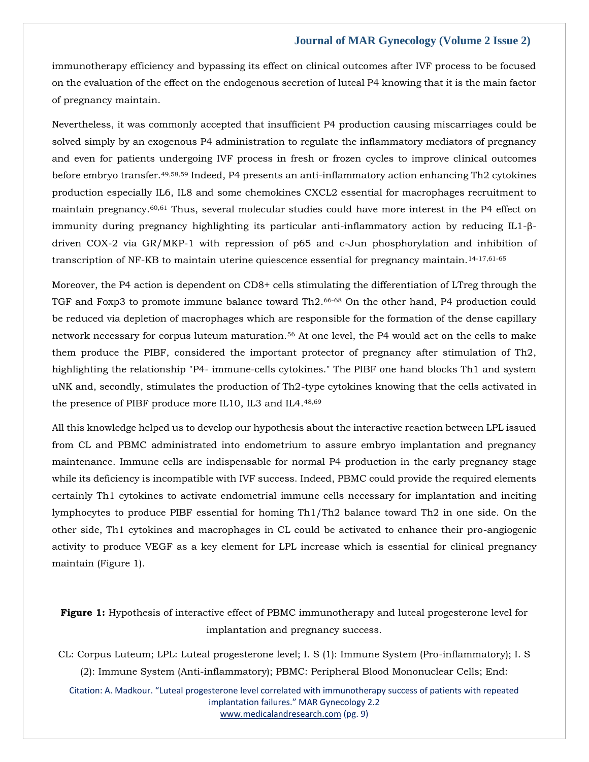immunotherapy efficiency and bypassing its effect on clinical outcomes after IVF process to be focused on the evaluation of the effect on the endogenous secretion of luteal P4 knowing that it is the main factor of pregnancy maintain.

Nevertheless, it was commonly accepted that insufficient P4 production causing miscarriages could be solved simply by an exogenous P4 administration to regulate the inflammatory mediators of pregnancy and even for patients undergoing IVF process in fresh or frozen cycles to improve clinical outcomes before embryo transfer.49,58,59 Indeed, P4 presents an anti-inflammatory action enhancing Th2 cytokines production especially IL6, IL8 and some chemokines CXCL2 essential for macrophages recruitment to maintain pregnancy.60,61 Thus, several molecular studies could have more interest in the P4 effect on immunity during pregnancy highlighting its particular anti-inflammatory action by reducing IL1-βdriven COX-2 via GR/MKP-1 with repression of p65 and c-Jun phosphorylation and inhibition of transcription of NF-KB to maintain uterine quiescence essential for pregnancy maintain.14-17,61-65

Moreover, the P4 action is dependent on CD8+ cells stimulating the differentiation of LTreg through the TGF and Foxp3 to promote immune balance toward Th2.66-68 On the other hand, P4 production could be reduced via depletion of macrophages which are responsible for the formation of the dense capillary network necessary for corpus luteum maturation.<sup>56</sup> At one level, the P4 would act on the cells to make them produce the PIBF, considered the important protector of pregnancy after stimulation of Th2, highlighting the relationship "P4- immune-cells cytokines." The PIBF one hand blocks Th1 and system uNK and, secondly, stimulates the production of Th2-type cytokines knowing that the cells activated in the presence of PIBF produce more IL10, IL3 and IL4.48,69

All this knowledge helped us to develop our hypothesis about the interactive reaction between LPL issued from CL and PBMC administrated into endometrium to assure embryo implantation and pregnancy maintenance. Immune cells are indispensable for normal P4 production in the early pregnancy stage while its deficiency is incompatible with IVF success. Indeed, PBMC could provide the required elements certainly Th1 cytokines to activate endometrial immune cells necessary for implantation and inciting lymphocytes to produce PIBF essential for homing Th1/Th2 balance toward Th2 in one side. On the other side, Th1 cytokines and macrophages in CL could be activated to enhance their pro-angiogenic activity to produce VEGF as a key element for LPL increase which is essential for clinical pregnancy maintain (Figure 1).

**Figure 1:** Hypothesis of interactive effect of PBMC immunotherapy and luteal progesterone level for implantation and pregnancy success.

CL: Corpus Luteum; LPL: Luteal progesterone level; I. S (1): Immune System (Pro-inflammatory); I. S (2): Immune System (Anti-inflammatory); PBMC: Peripheral Blood Mononuclear Cells; End:

Citation: A. Madkour. "Luteal progesterone level correlated with immunotherapy success of patients with repeated implantation failures." MAR Gynecology 2.2 [www.medicalandresearch.com](http://www.medicalandresearch.com/) (pg. 9)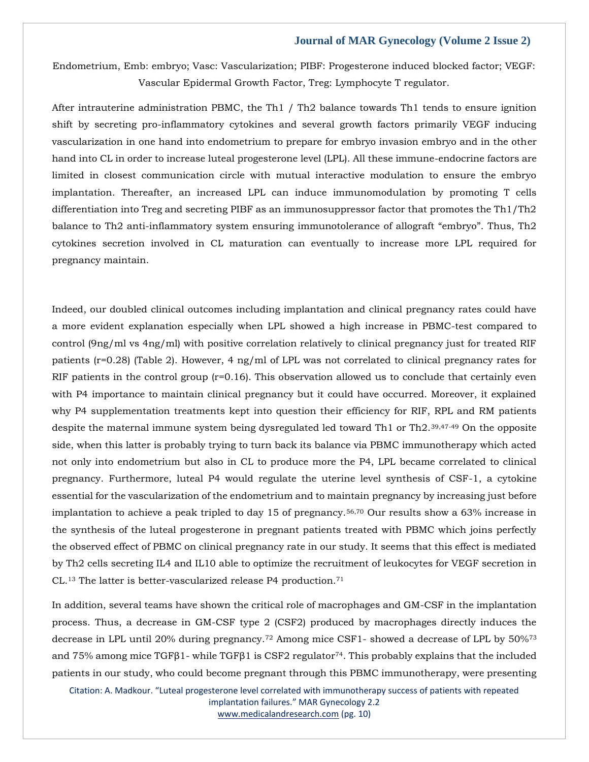Endometrium, Emb: embryo; Vasc: Vascularization; PIBF: Progesterone induced blocked factor; VEGF: Vascular Epidermal Growth Factor, Treg: Lymphocyte T regulator.

After intrauterine administration PBMC, the Th1 / Th2 balance towards Th1 tends to ensure ignition shift by secreting pro-inflammatory cytokines and several growth factors primarily VEGF inducing vascularization in one hand into endometrium to prepare for embryo invasion embryo and in the other hand into CL in order to increase luteal progesterone level (LPL). All these immune-endocrine factors are limited in closest communication circle with mutual interactive modulation to ensure the embryo implantation. Thereafter, an increased LPL can induce immunomodulation by promoting T cells differentiation into Treg and secreting PIBF as an immunosuppressor factor that promotes the Th1/Th2 balance to Th2 anti-inflammatory system ensuring immunotolerance of allograft "embryo". Thus, Th2 cytokines secretion involved in CL maturation can eventually to increase more LPL required for pregnancy maintain.

Indeed, our doubled clinical outcomes including implantation and clinical pregnancy rates could have a more evident explanation especially when LPL showed a high increase in PBMC-test compared to control (9ng/ml vs 4ng/ml) with positive correlation relatively to clinical pregnancy just for treated RIF patients (r=0.28) (Table 2). However, 4 ng/ml of LPL was not correlated to clinical pregnancy rates for RIF patients in the control group  $(r=0.16)$ . This observation allowed us to conclude that certainly even with P4 importance to maintain clinical pregnancy but it could have occurred. Moreover, it explained why P4 supplementation treatments kept into question their efficiency for RIF, RPL and RM patients despite the maternal immune system being dysregulated led toward Th1 or Th2.39,47-49 On the opposite side, when this latter is probably trying to turn back its balance via PBMC immunotherapy which acted not only into endometrium but also in CL to produce more the P4, LPL became correlated to clinical pregnancy. Furthermore, luteal P4 would regulate the uterine level synthesis of CSF-1, a cytokine essential for the vascularization of the endometrium and to maintain pregnancy by increasing just before implantation to achieve a peak tripled to day 15 of pregnancy.56,70 Our results show a 63% increase in the synthesis of the luteal progesterone in pregnant patients treated with PBMC which joins perfectly the observed effect of PBMC on clinical pregnancy rate in our study. It seems that this effect is mediated by Th2 cells secreting IL4 and IL10 able to optimize the recruitment of leukocytes for VEGF secretion in CL.<sup>13</sup> The latter is better-vascularized release P4 production.<sup>71</sup>

In addition, several teams have shown the critical role of macrophages and GM-CSF in the implantation process. Thus, a decrease in GM-CSF type 2 (CSF2) produced by macrophages directly induces the decrease in LPL until 20% during pregnancy.<sup>72</sup> Among mice CSF1- showed a decrease of LPL by 50%<sup>73</sup> and 75% among mice TGF $\beta$ 1- while TGF $\beta$ 1 is CSF2 regulator<sup>74</sup>. This probably explains that the included patients in our study, who could become pregnant through this PBMC immunotherapy, were presenting

Citation: A. Madkour. "Luteal progesterone level correlated with immunotherapy success of patients with repeated implantation failures." MAR Gynecology 2.2 [www.medicalandresearch.com](http://www.medicalandresearch.com/) (pg. 10)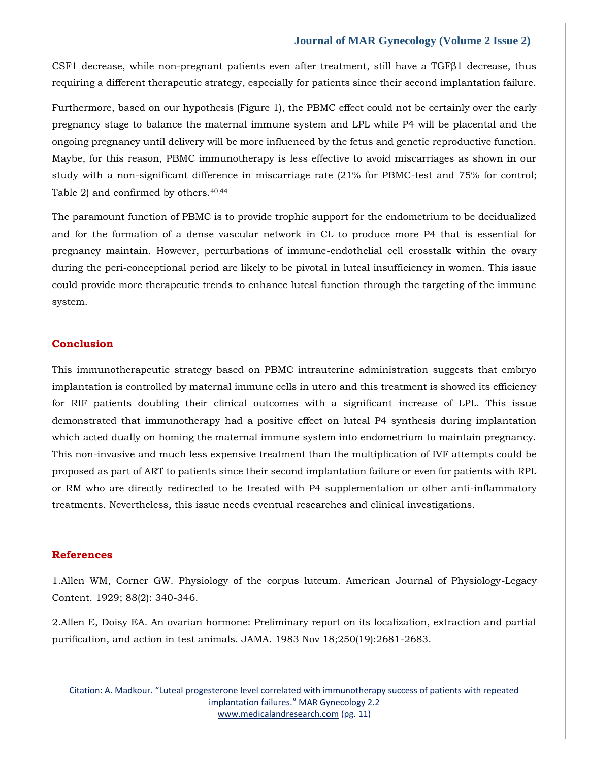CSF1 decrease, while non-pregnant patients even after treatment, still have a TGFβ1 decrease, thus requiring a different therapeutic strategy, especially for patients since their second implantation failure.

Furthermore, based on our hypothesis (Figure 1), the PBMC effect could not be certainly over the early pregnancy stage to balance the maternal immune system and LPL while P4 will be placental and the ongoing pregnancy until delivery will be more influenced by the fetus and genetic reproductive function. Maybe, for this reason, PBMC immunotherapy is less effective to avoid miscarriages as shown in our study with a non-significant difference in miscarriage rate (21% for PBMC-test and 75% for control; Table 2) and confirmed by others.40,44

The paramount function of PBMC is to provide trophic support for the endometrium to be decidualized and for the formation of a dense vascular network in CL to produce more P4 that is essential for pregnancy maintain. However, perturbations of immune-endothelial cell crosstalk within the ovary during the peri-conceptional period are likely to be pivotal in luteal insufficiency in women. This issue could provide more therapeutic trends to enhance luteal function through the targeting of the immune system.

# **Conclusion**

This immunotherapeutic strategy based on PBMC intrauterine administration suggests that embryo implantation is controlled by maternal immune cells in utero and this treatment is showed its efficiency for RIF patients doubling their clinical outcomes with a significant increase of LPL. This issue demonstrated that immunotherapy had a positive effect on luteal P4 synthesis during implantation which acted dually on homing the maternal immune system into endometrium to maintain pregnancy. This non-invasive and much less expensive treatment than the multiplication of IVF attempts could be proposed as part of ART to patients since their second implantation failure or even for patients with RPL or RM who are directly redirected to be treated with P4 supplementation or other anti-inflammatory treatments. Nevertheless, this issue needs eventual researches and clinical investigations.

# **References**

1.Allen WM, Corner GW. Physiology of the corpus luteum. American Journal of Physiology-Legacy Content. 1929; 88(2): 340-346.

2.Allen E, Doisy EA. An ovarian hormone: Preliminary report on its localization, extraction and partial purification, and action in test animals. JAMA. 1983 Nov 18;250(19):2681-2683.

Citation: A. Madkour. "Luteal progesterone level correlated with immunotherapy success of patients with repeated implantation failures." MAR Gynecology 2.2 [www.medicalandresearch.com](http://www.medicalandresearch.com/) (pg. 11)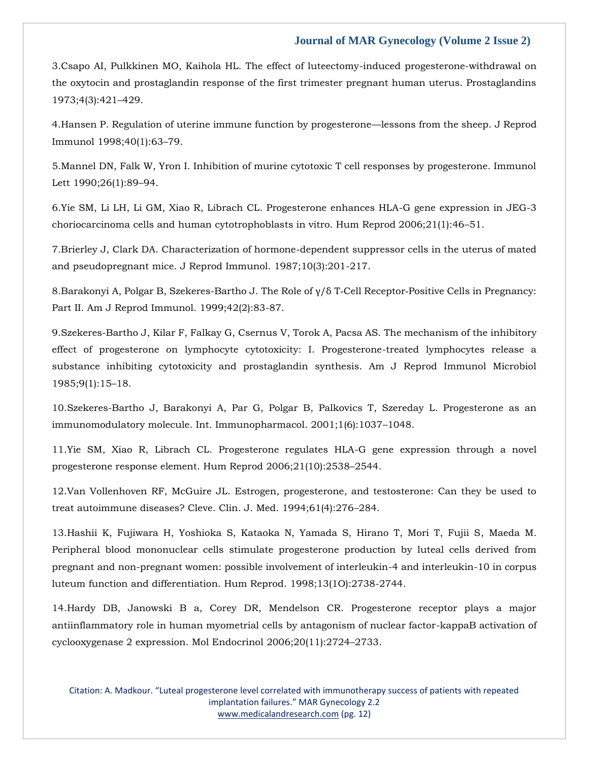3.Csapo AI, Pulkkinen MO, Kaihola HL. The effect of luteectomy-induced progesterone-withdrawal on the oxytocin and prostaglandin response of the first trimester pregnant human uterus. Prostaglandins 1973;4(3):421–429.

4.Hansen P. Regulation of uterine immune function by progesterone—lessons from the sheep. J Reprod Immunol 1998;40(1):63–79.

5.Mannel DN, Falk W, Yron I. Inhibition of murine cytotoxic T cell responses by progesterone. Immunol Lett 1990;26(1):89–94.

6.Yie SM, Li LH, Li GM, Xiao R, Librach CL. Progesterone enhances HLA-G gene expression in JEG-3 choriocarcinoma cells and human cytotrophoblasts in vitro. Hum Reprod 2006;21(1):46–51.

7.Brierley J, Clark DA. Characterization of hormone-dependent suppressor cells in the uterus of mated and pseudopregnant mice. J Reprod Immunol. 1987;10(3):201-217.

8.Barakonyi A, Polgar B, Szekeres-Bartho J. The Role of γ/δ T‐Cell Receptor‐Positive Cells in Pregnancy: Part II. Am J Reprod Immunol. 1999;42(2):83-87.

9.Szekeres-Bartho J, Kilar F, Falkay G, Csernus V, Torok A, Pacsa AS. The mechanism of the inhibitory effect of progesterone on lymphocyte cytotoxicity: I. Progesterone-treated lymphocytes release a substance inhibiting cytotoxicity and prostaglandin synthesis. Am J Reprod Immunol Microbiol 1985;9(1):15–18.

10.Szekeres-Bartho J, Barakonyi A, Par G, Polgar B, Palkovics T, Szereday L. Progesterone as an immunomodulatory molecule. Int. Immunopharmacol. 2001;1(6):1037–1048.

11.Yie SM, Xiao R, Librach CL. Progesterone regulates HLA-G gene expression through a novel progesterone response element. Hum Reprod 2006;21(10):2538–2544.

12.Van Vollenhoven RF, McGuire JL. Estrogen, progesterone, and testosterone: Can they be used to treat autoimmune diseases? Cleve. Clin. J. Med. 1994;61(4):276–284.

13.Hashii K, Fujiwara H, Yoshioka S, Kataoka N, Yamada S, Hirano T, Mori T, Fujii S, Maeda M. Peripheral blood mononuclear cells stimulate progesterone production by luteal cells derived from pregnant and non-pregnant women: possible involvement of interleukin-4 and interleukin-10 in corpus luteum function and differentiation. Hum Reprod. 1998;13(1O):2738-2744.

14.Hardy DB, Janowski B a, Corey DR, Mendelson CR. Progesterone receptor plays a major antiinflammatory role in human myometrial cells by antagonism of nuclear factor-kappaB activation of cyclooxygenase 2 expression. Mol Endocrinol 2006;20(11):2724–2733.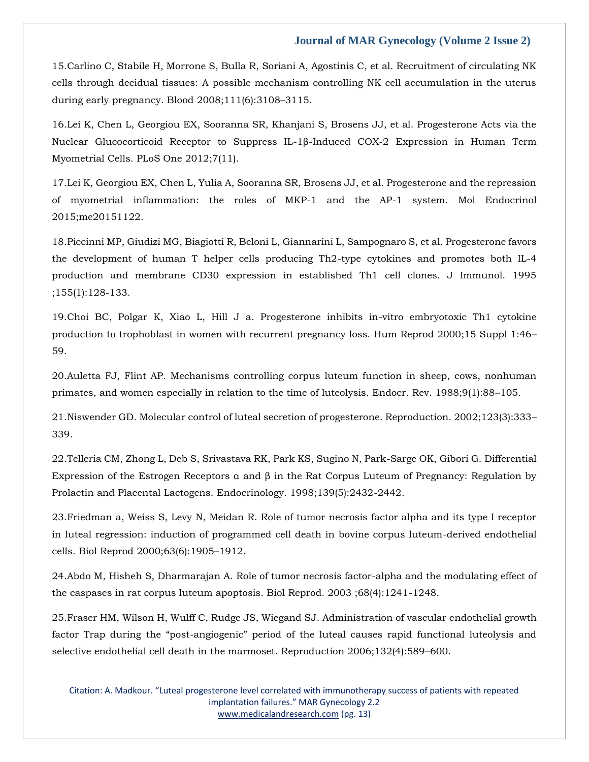15.Carlino C, Stabile H, Morrone S, Bulla R, Soriani A, Agostinis C, et al. Recruitment of circulating NK cells through decidual tissues: A possible mechanism controlling NK cell accumulation in the uterus during early pregnancy. Blood 2008;111(6):3108–3115.

16.Lei K, Chen L, Georgiou EX, Sooranna SR, Khanjani S, Brosens JJ, et al. Progesterone Acts via the Nuclear Glucocorticoid Receptor to Suppress IL-1β-Induced COX-2 Expression in Human Term Myometrial Cells. PLoS One 2012;7(11).

17.Lei K, Georgiou EX, Chen L, Yulia A, Sooranna SR, Brosens JJ, et al. Progesterone and the repression of myometrial inflammation: the roles of MKP-1 and the AP-1 system. Mol Endocrinol 2015;me20151122.

18.Piccinni MP, Giudizi MG, Biagiotti R, Beloni L, Giannarini L, Sampognaro S, et al. Progesterone favors the development of human T helper cells producing Th2-type cytokines and promotes both IL-4 production and membrane CD30 expression in established Th1 cell clones. J Immunol. 1995 ;155(1):128-133.

19.Choi BC, Polgar K, Xiao L, Hill J a. Progesterone inhibits in-vitro embryotoxic Th1 cytokine production to trophoblast in women with recurrent pregnancy loss. Hum Reprod 2000;15 Suppl 1:46– 59.

20.Auletta FJ, Flint AP. Mechanisms controlling corpus luteum function in sheep, cows, nonhuman primates, and women especially in relation to the time of luteolysis. Endocr. Rev. 1988;9(1):88–105.

21.Niswender GD. Molecular control of luteal secretion of progesterone. Reproduction. 2002;123(3):333– 339.

22.Telleria CM, Zhong L, Deb S, Srivastava RK, Park KS, Sugino N, Park-Sarge OK, Gibori G. Differential Expression of the Estrogen Receptors α and β in the Rat Corpus Luteum of Pregnancy: Regulation by Prolactin and Placental Lactogens. Endocrinology. 1998;139(5):2432-2442.

23.Friedman a, Weiss S, Levy N, Meidan R. Role of tumor necrosis factor alpha and its type I receptor in luteal regression: induction of programmed cell death in bovine corpus luteum-derived endothelial cells. Biol Reprod 2000;63(6):1905–1912.

24.Abdo M, Hisheh S, Dharmarajan A. Role of tumor necrosis factor-alpha and the modulating effect of the caspases in rat corpus luteum apoptosis. Biol Reprod. 2003 ;68(4):1241-1248.

25.Fraser HM, Wilson H, Wulff C, Rudge JS, Wiegand SJ. Administration of vascular endothelial growth factor Trap during the "post-angiogenic" period of the luteal causes rapid functional luteolysis and selective endothelial cell death in the marmoset. Reproduction 2006;132(4):589–600.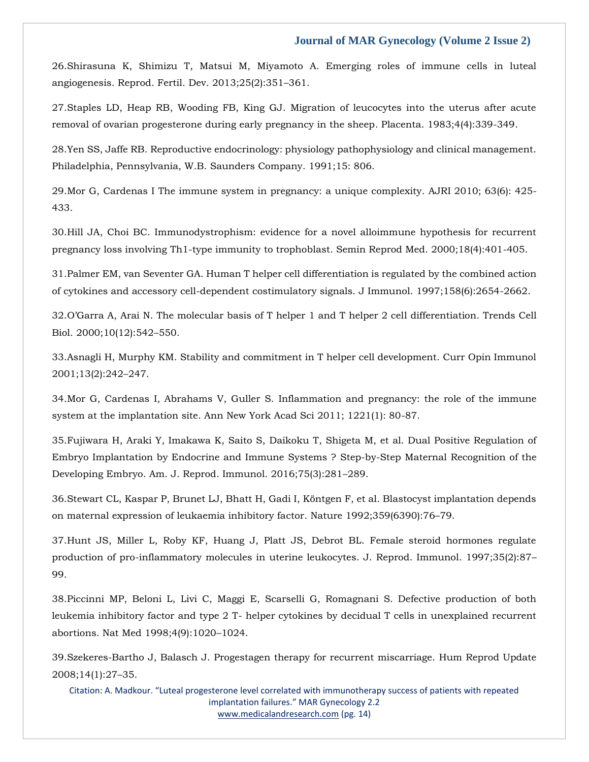26.Shirasuna K, Shimizu T, Matsui M, Miyamoto A. Emerging roles of immune cells in luteal angiogenesis. Reprod. Fertil. Dev. 2013;25(2):351–361.

27.Staples LD, Heap RB, Wooding FB, King GJ. Migration of leucocytes into the uterus after acute removal of ovarian progesterone during early pregnancy in the sheep. Placenta. 1983;4(4):339-349.

28.Yen SS, Jaffe RB. Reproductive endocrinology: physiology pathophysiology and clinical management. Philadelphia, Pennsylvania, W.B. Saunders Company. 1991;15: 806.

29.Mor G, Cardenas I The immune system in pregnancy: a unique complexity. AJRI 2010; 63(6): 425- 433.

30.Hill JA, Choi BC. Immunodystrophism: evidence for a novel alloimmune hypothesis for recurrent pregnancy loss involving Th1-type immunity to trophoblast. Semin Reprod Med. 2000;18(4):401-405.

31.Palmer EM, van Seventer GA. Human T helper cell differentiation is regulated by the combined action of cytokines and accessory cell-dependent costimulatory signals. J Immunol. 1997;158(6):2654-2662.

32.O'Garra A, Arai N. The molecular basis of T helper 1 and T helper 2 cell differentiation. Trends Cell Biol. 2000;10(12):542–550.

33.Asnagli H, Murphy KM. Stability and commitment in T helper cell development. Curr Opin Immunol 2001;13(2):242–247.

34.Mor G, Cardenas I, Abrahams V, Guller S. Inflammation and pregnancy: the role of the immune system at the implantation site. Ann New York Acad Sci 2011; 1221(1): 80-87.

35.Fujiwara H, Araki Y, Imakawa K, Saito S, Daikoku T, Shigeta M, et al. Dual Positive Regulation of Embryo Implantation by Endocrine and Immune Systems ? Step-by-Step Maternal Recognition of the Developing Embryo. Am. J. Reprod. Immunol. 2016;75(3):281–289.

36.Stewart CL, Kaspar P, Brunet LJ, Bhatt H, Gadi I, Köntgen F, et al. Blastocyst implantation depends on maternal expression of leukaemia inhibitory factor. Nature 1992;359(6390):76–79.

37.Hunt JS, Miller L, Roby KF, Huang J, Platt JS, Debrot BL. Female steroid hormones regulate production of pro-inflammatory molecules in uterine leukocytes. J. Reprod. Immunol. 1997;35(2):87– 99.

38.Piccinni MP, Beloni L, Livi C, Maggi E, Scarselli G, Romagnani S. Defective production of both leukemia inhibitory factor and type 2 T- helper cytokines by decidual T cells in unexplained recurrent abortions. Nat Med 1998;4(9):1020–1024.

39.Szekeres-Bartho J, Balasch J. Progestagen therapy for recurrent miscarriage. Hum Reprod Update 2008;14(1):27–35.

Citation: A. Madkour. "Luteal progesterone level correlated with immunotherapy success of patients with repeated implantation failures." MAR Gynecology 2.2 [www.medicalandresearch.com](http://www.medicalandresearch.com/) (pg. 14)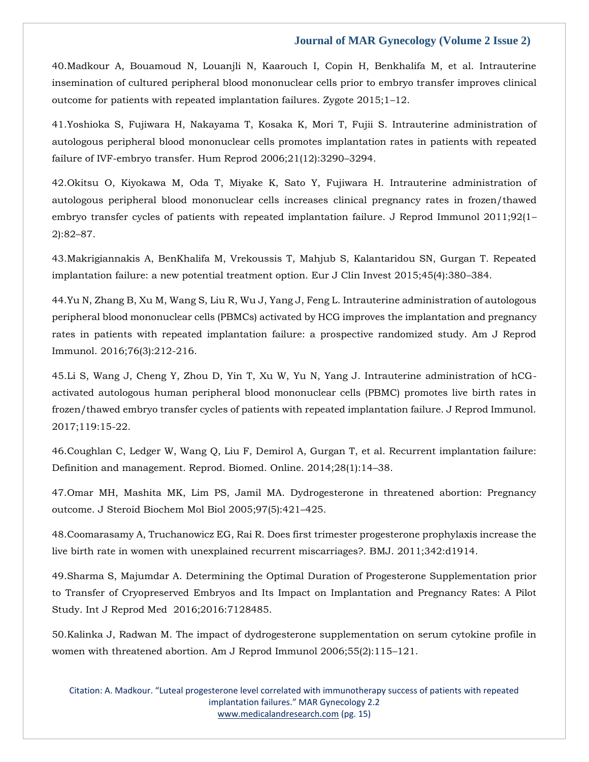40.Madkour A, Bouamoud N, Louanjli N, Kaarouch I, Copin H, Benkhalifa M, et al. Intrauterine insemination of cultured peripheral blood mononuclear cells prior to embryo transfer improves clinical outcome for patients with repeated implantation failures. Zygote 2015;1–12.

41.Yoshioka S, Fujiwara H, Nakayama T, Kosaka K, Mori T, Fujii S. Intrauterine administration of autologous peripheral blood mononuclear cells promotes implantation rates in patients with repeated failure of IVF-embryo transfer. Hum Reprod 2006;21(12):3290–3294.

42.Okitsu O, Kiyokawa M, Oda T, Miyake K, Sato Y, Fujiwara H. Intrauterine administration of autologous peripheral blood mononuclear cells increases clinical pregnancy rates in frozen/thawed embryo transfer cycles of patients with repeated implantation failure. J Reprod Immunol 2011;92(1– 2):82–87.

43.Makrigiannakis A, BenKhalifa M, Vrekoussis T, Mahjub S, Kalantaridou SN, Gurgan T. Repeated implantation failure: a new potential treatment option. Eur J Clin Invest 2015;45(4):380–384.

44.Yu N, Zhang B, Xu M, Wang S, Liu R, Wu J, Yang J, Feng L. Intrauterine administration of autologous peripheral blood mononuclear cells (PBMCs) activated by HCG improves the implantation and pregnancy rates in patients with repeated implantation failure: a prospective randomized study. Am J Reprod Immunol. 2016;76(3):212-216.

45.Li S, Wang J, Cheng Y, Zhou D, Yin T, Xu W, Yu N, Yang J. Intrauterine administration of hCGactivated autologous human peripheral blood mononuclear cells (PBMC) promotes live birth rates in frozen/thawed embryo transfer cycles of patients with repeated implantation failure. J Reprod Immunol. 2017;119:15-22.

46.Coughlan C, Ledger W, Wang Q, Liu F, Demirol A, Gurgan T, et al. Recurrent implantation failure: Definition and management. Reprod. Biomed. Online. 2014;28(1):14–38.

47.Omar MH, Mashita MK, Lim PS, Jamil MA. Dydrogesterone in threatened abortion: Pregnancy outcome. J Steroid Biochem Mol Biol 2005;97(5):421–425.

48.Coomarasamy A, Truchanowicz EG, Rai R. Does first trimester progesterone prophylaxis increase the live birth rate in women with unexplained recurrent miscarriages?. BMJ. 2011;342:d1914.

49.Sharma S, Majumdar A. Determining the Optimal Duration of Progesterone Supplementation prior to Transfer of Cryopreserved Embryos and Its Impact on Implantation and Pregnancy Rates: A Pilot Study. Int J Reprod Med 2016;2016:7128485.

50.Kalinka J, Radwan M. The impact of dydrogesterone supplementation on serum cytokine profile in women with threatened abortion. Am J Reprod Immunol 2006;55(2):115–121.

Citation: A. Madkour. "Luteal progesterone level correlated with immunotherapy success of patients with repeated implantation failures." MAR Gynecology 2.2 [www.medicalandresearch.com](http://www.medicalandresearch.com/) (pg. 15)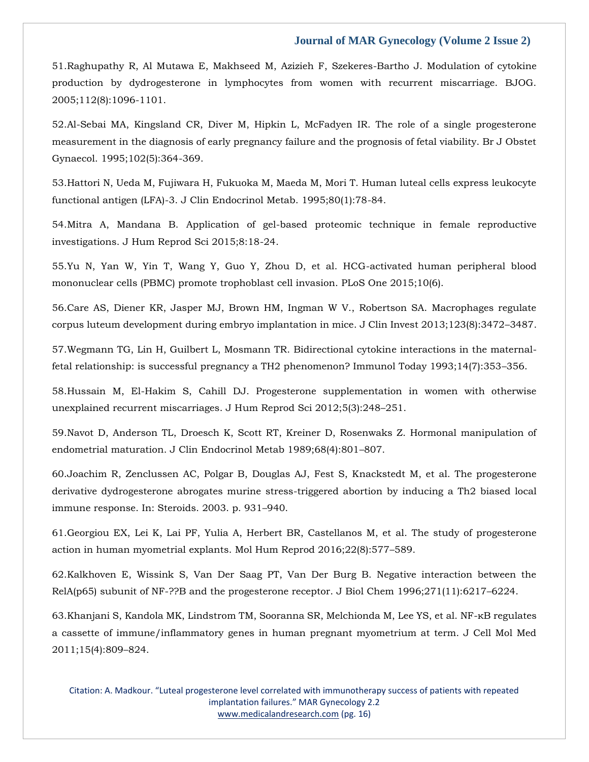51.Raghupathy R, Al Mutawa E, Makhseed M, Azizieh F, Szekeres-Bartho J. Modulation of cytokine production by dydrogesterone in lymphocytes from women with recurrent miscarriage. BJOG. 2005;112(8):1096-1101.

52.Al-Sebai MA, Kingsland CR, Diver M, Hipkin L, McFadyen IR. The role of a single progesterone measurement in the diagnosis of early pregnancy failure and the prognosis of fetal viability. Br J Obstet Gynaecol. 1995;102(5):364-369.

53.Hattori N, Ueda M, Fujiwara H, Fukuoka M, Maeda M, Mori T. Human luteal cells express leukocyte functional antigen (LFA)-3. J Clin Endocrinol Metab. 1995;80(1):78-84.

54.Mitra A, Mandana B. Application of gel-based proteomic technique in female reproductive investigations. J Hum Reprod Sci 2015;8:18-24.

55.Yu N, Yan W, Yin T, Wang Y, Guo Y, Zhou D, et al. HCG-activated human peripheral blood mononuclear cells (PBMC) promote trophoblast cell invasion. PLoS One 2015;10(6).

56.Care AS, Diener KR, Jasper MJ, Brown HM, Ingman W V., Robertson SA. Macrophages regulate corpus luteum development during embryo implantation in mice. J Clin Invest 2013;123(8):3472–3487.

57.Wegmann TG, Lin H, Guilbert L, Mosmann TR. Bidirectional cytokine interactions in the maternalfetal relationship: is successful pregnancy a TH2 phenomenon? Immunol Today 1993;14(7):353–356.

58.Hussain M, El-Hakim S, Cahill DJ. Progesterone supplementation in women with otherwise unexplained recurrent miscarriages. J Hum Reprod Sci 2012;5(3):248–251.

59.Navot D, Anderson TL, Droesch K, Scott RT, Kreiner D, Rosenwaks Z. Hormonal manipulation of endometrial maturation. J Clin Endocrinol Metab 1989;68(4):801–807.

60.Joachim R, Zenclussen AC, Polgar B, Douglas AJ, Fest S, Knackstedt M, et al. The progesterone derivative dydrogesterone abrogates murine stress-triggered abortion by inducing a Th2 biased local immune response. In: Steroids. 2003. p. 931–940.

61.Georgiou EX, Lei K, Lai PF, Yulia A, Herbert BR, Castellanos M, et al. The study of progesterone action in human myometrial explants. Mol Hum Reprod 2016;22(8):577–589.

62.Kalkhoven E, Wissink S, Van Der Saag PT, Van Der Burg B. Negative interaction between the RelA(p65) subunit of NF-??B and the progesterone receptor. J Biol Chem 1996;271(11):6217–6224.

63.Khanjani S, Kandola MK, Lindstrom TM, Sooranna SR, Melchionda M, Lee YS, et al. NF-κB regulates a cassette of immune/inflammatory genes in human pregnant myometrium at term. J Cell Mol Med 2011;15(4):809–824.

Citation: A. Madkour. "Luteal progesterone level correlated with immunotherapy success of patients with repeated implantation failures." MAR Gynecology 2.2 [www.medicalandresearch.com](http://www.medicalandresearch.com/) (pg. 16)